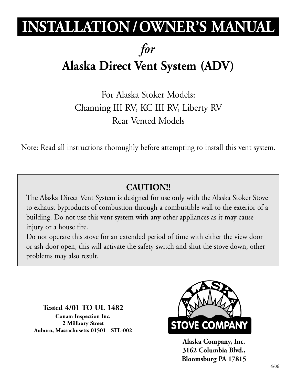# **INSTALLATION /OWNER'S MANUAL**

## *for* **Alaska Direct Vent System (ADV)**

For Alaska Stoker Models: Channing III RV, KC III RV, Liberty RV Rear Vented Models

Note: Read all instructions thoroughly before attempting to install this vent system.

## **CAUTION!!**

The Alaska Direct Vent System is designed for use only with the Alaska Stoker Stove to exhaust byproducts of combustion through a combustible wall to the exterior of a building. Do not use this vent system with any other appliances as it may cause injury or a house fire.

Do not operate this stove for an extended period of time with either the view door or ash door open, this will activate the safety switch and shut the stove down, other problems may also result.

**Tested 4/01 TO UL 1482 Conam Inspection Inc. 2 Millbury Street Auburn, Massachusetts 01501 STL-002**



**Alaska Company, Inc. 3162 Columbia Blvd., Bloomsburg PA 17815**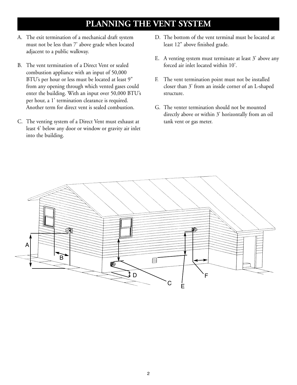## **PLANNING THE VENT SYSTEM**

- A. The exit termination of a mechanical draft system must not be less than 7' above grade when located adjacent to a public walkway.
- B. The vent termination of a Direct Vent or sealed combustion appliance with an input of 50,000 BTU's per hour or less must be located at least 9" from any opening through which vented gases could enter the building. With an input over 50,000 BTU's per hour, a 1' termination clearance is required. Another term for direct vent is sealed combustion.
- C. The venting system of a Direct Vent must exhaust at least 4' below any door or window or gravity air inlet into the building.
- D. The bottom of the vent terminal must be located at least 12" above finished grade.
- E. A venting system must terminate at least 3' above any forced air inlet located within 10'.
- F. The vent termination point must not be installed closer than 3' from an inside corner of an L-shaped structure.
- G. The venter termination should not be mounted directly above or within 3' horizontally from an oil tank vent or gas meter.

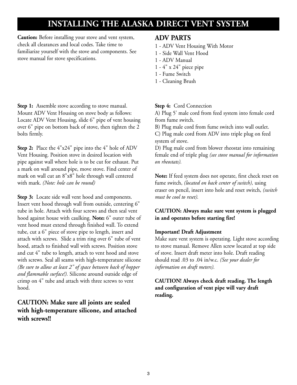## **INSTALLING THE ALASKA DIRECT VENT SYSTEM**

**Caution:** Before installing your stove and vent system, check all clearances and local codes. Take time to familiarize yourself with the stove and components. See stove manual for stove specifications.

**Step 1:** Assemble stove according to stove manual. Mount ADV Vent Housing on stove body as follows: Locate ADV Vent Housing, slide 6" pipe of vent housing over 6" pipe on bottom back of stove, then tighten the 2 bolts firmly.

**Step 2:** Place the 4"x24" pipe into the 4" hole of ADV Vent Housing. Position stove in desired location with pipe against wall where hole is to be cut for exhaust. Put a mark on wall around pipe, move stove. Find center of mark on wall cut an 8"x8" hole through wall centered with mark. *(Note: hole can be round)*

**Step 3:** Locate side wall vent hood and components. Insert vent hood through wall from outside, centering 6" tube in hole. Attach with four screws and then seal vent hood against house with caulking. **Note:** 6" outer tube of vent hood must extend through finished wall. To extend tube, cut a 6" piece of stove pipe to length, insert and attach with screws. Slide a trim ring over 6" tube of vent hood, attach to finished wall with screws. Position stove and cut 4" tube to length, attach to vent hood and stove with screws. Seal all seams with high-temperature silicone *(Be sure to allow at least 2" of space between back of hopper and flammable surface!).* Silicone around outside edge of crimp on 4" tube and attach with three screws to vent hood.

#### **CAUTION: Make sure all joints are sealed with high-temperature silicone, and attached with screws!!**

#### **ADV PARTS**

- 1 ADV Vent Housing With Motor
- 1 Side Wall Vent Hood
- 1 ADV Manual
- 1 4" x 24" piece pipe
- 1 Fume Switch
- 1 Cleaning Brush

**Step 4:** Cord Connection

A) Plug 5' male cord from feed system into female cord from fume switch.

B) Plug male cord from fume switch into wall outlet. C) Plug male cord from ADV into triple plug on feed system of stove.

D) Plug male cord from blower rheostat into remaining female end of triple plug *(see stove manual for information on rheostats).*

**Note:** If feed system does not operate, first check reset on fume switch, *(located on back center of switch),* using eraser on pencil, insert into hole and reset switch, *(switch must be cool to reset).*

#### **CAUTION: Always make sure vent system is plugged in and operates before starting fire!**

#### **Important! Draft Adjustment**

Make sure vent system is operating. Light stove according to stove manual. Remove Allen screw located at top side of stove. Insert draft meter into hole. Draft reading should read .03 to .04 in/w.c. *(See your dealer for information on draft meters).*

**CAUTION! Always check draft reading. The length and configuration of vent pipe will vary draft reading.**